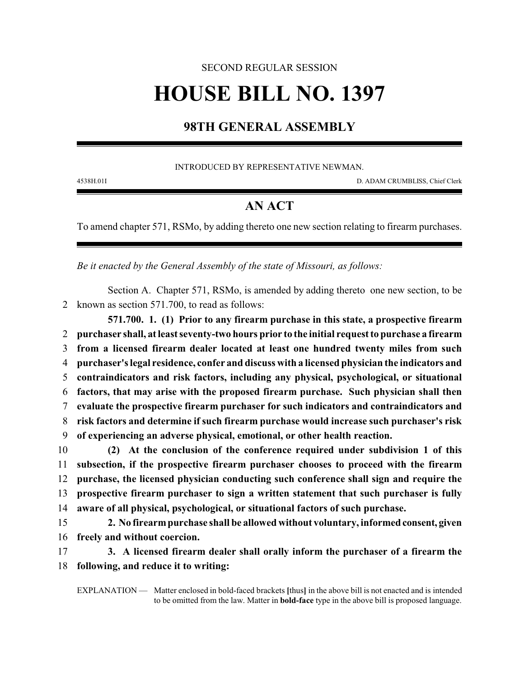## SECOND REGULAR SESSION **HOUSE BILL NO. 1397**

## **98TH GENERAL ASSEMBLY**

## INTRODUCED BY REPRESENTATIVE NEWMAN.

4538H.01I D. ADAM CRUMBLISS, Chief Clerk

## **AN ACT**

To amend chapter 571, RSMo, by adding thereto one new section relating to firearm purchases.

*Be it enacted by the General Assembly of the state of Missouri, as follows:*

Section A. Chapter 571, RSMo, is amended by adding thereto one new section, to be 2 known as section 571.700, to read as follows:

**571.700. 1. (1) Prior to any firearm purchase in this state, a prospective firearm purchaser shall, at least seventy-two hours prior to the initial request to purchase a firearm from a licensed firearm dealer located at least one hundred twenty miles from such purchaser's legal residence, confer and discuss with a licensed physician the indicators and contraindicators and risk factors, including any physical, psychological, or situational factors, that may arise with the proposed firearm purchase. Such physician shall then evaluate the prospective firearm purchaser for such indicators and contraindicators and risk factors and determine if such firearm purchase would increase such purchaser's risk of experiencing an adverse physical, emotional, or other health reaction. (2) At the conclusion of the conference required under subdivision 1 of this subsection, if the prospective firearm purchaser chooses to proceed with the firearm**

12 **purchase, the licensed physician conducting such conference shall sign and require the** 13 **prospective firearm purchaser to sign a written statement that such purchaser is fully** 14 **aware of all physical, psychological, or situational factors of such purchase.**

15 **2. No firearmpurchase shall be allowed without voluntary, informedconsent, given** 16 **freely and without coercion.**

17 **3. A licensed firearm dealer shall orally inform the purchaser of a firearm the** 18 **following, and reduce it to writing:**

EXPLANATION — Matter enclosed in bold-faced brackets **[**thus**]** in the above bill is not enacted and is intended to be omitted from the law. Matter in **bold-face** type in the above bill is proposed language.